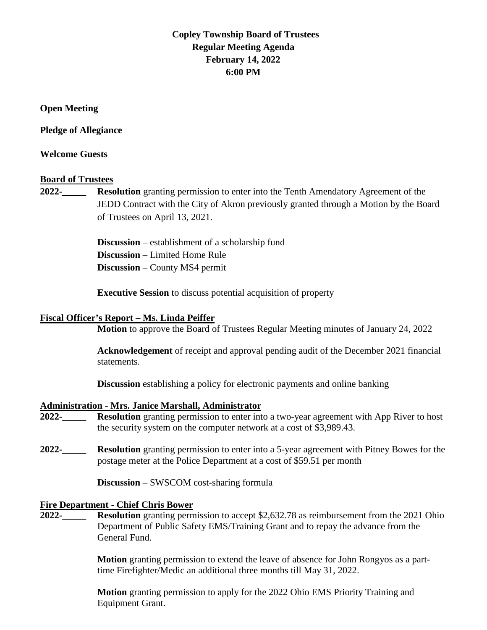# **Copley Township Board of Trustees Regular Meeting Agenda February 14, 2022 6:00 PM**

**Open Meeting**

**Pledge of Allegiance** 

**Welcome Guests**

### **Board of Trustees**

**2022-\_\_\_\_\_ Resolution** granting permission to enter into the Tenth Amendatory Agreement of the JEDD Contract with the City of Akron previously granted through a Motion by the Board of Trustees on April 13, 2021.

> **Discussion** – establishment of a scholarship fund **Discussion** – Limited Home Rule **Discussion** – County MS4 permit

**Executive Session** to discuss potential acquisition of property

#### **Fiscal Officer's Report – Ms. Linda Peiffer**

**Motion** to approve the Board of Trustees Regular Meeting minutes of January 24, 2022

**Acknowledgement** of receipt and approval pending audit of the December 2021 financial statements.

**Discussion** establishing a policy for electronic payments and online banking

#### **Administration - Mrs. Janice Marshall, Administrator**

- **2022-\_\_\_\_\_ Resolution** granting permission to enter into a two-year agreement with App River to host the security system on the computer network at a cost of \$3,989.43.
- **2022-\_\_\_\_\_ Resolution** granting permission to enter into a 5-year agreement with Pitney Bowes for the postage meter at the Police Department at a cost of \$59.51 per month

**Discussion** – SWSCOM cost-sharing formula

#### **Fire Department - Chief Chris Bower**

**2022-\_\_\_\_\_ Resolution** granting permission to accept \$2,632.78 as reimbursement from the 2021 Ohio Department of Public Safety EMS/Training Grant and to repay the advance from the General Fund.

> **Motion** granting permission to extend the leave of absence for John Rongyos as a parttime Firefighter/Medic an additional three months till May 31, 2022.

**Motion** granting permission to apply for the 2022 Ohio EMS Priority Training and Equipment Grant.